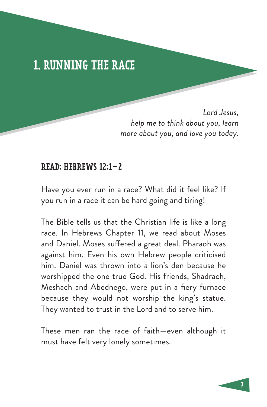## 1. RUNNING THE RACE

*Lord Jesus, help me to think about you, learn more about you, and love you today.*

#### READ: HEBREWS 12:1–2

Have you ever run in a race? What did it feel like? If you run in a race it can be hard going and tiring!

The Bible tells us that the Christian life is like a long race. In Hebrews Chapter 11, we read about Moses and Daniel. Moses suffered a great deal. Pharaoh was against him. Even his own Hebrew people criticised him. Daniel was thrown into a lion's den because he worshipped the one true God. His friends, Shadrach, Meshach and Abednego, were put in a fiery furnace because they would not worship the king's statue. They wanted to trust in the Lord and to serve him.

These men ran the race of faith—even although it must have felt very lonely sometimes.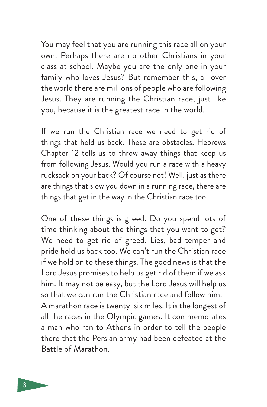You may feel that you are running this race all on your own. Perhaps there are no other Christians in your class at school. Maybe you are the only one in your family who loves Jesus? But remember this, all over the world there are millions of people who are following Jesus. They are running the Christian race, just like you, because it is the greatest race in the world.

If we run the Christian race we need to get rid of things that hold us back. These are obstacles. Hebrews Chapter 12 tells us to throw away things that keep us from following Jesus. Would you run a race with a heavy rucksack on your back? Of course not! Well, just as there are things that slow you down in a running race, there are things that get in the way in the Christian race too.

One of these things is greed. Do you spend lots of time thinking about the things that you want to get? We need to get rid of greed. Lies, bad temper and pride hold us back too. We can't run the Christian race if we hold on to these things. The good news is that the Lord Jesus promises to help us get rid of them if we ask him. It may not be easy, but the Lord Jesus will help us so that we can run the Christian race and follow him. A marathon race is twenty-six miles. It is the longest of all the races in the Olympic games. It commemorates a man who ran to Athens in order to tell the people there that the Persian army had been defeated at the Battle of Marathon.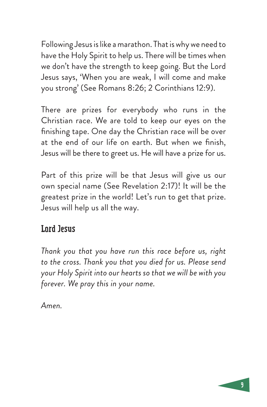Following Jesus is like a marathon. That is why we need to have the Holy Spirit to help us. There will be times when we don't have the strength to keep going. But the Lord Jesus says, 'When you are weak, I will come and make you strong' (See Romans 8:26; 2 Corinthians 12:9).

There are prizes for everybody who runs in the Christian race. We are told to keep our eyes on the finishing tape. One day the Christian race will be over at the end of our life on earth. But when we finish, Jesus will be there to greet us. He will have a prize for us.

Part of this prize will be that Jesus will give us our own special name (See Revelation 2:17)! It will be the greatest prize in the world! Let's run to get that prize. Jesus will help us all the way.

## Lord Jesus

*Thank you that you have run this race before us, right to the cross. Thank you that you died for us. Please send your Holy Spirit into our hearts so that we will be with you forever. We pray this in your name.* 

*Amen.*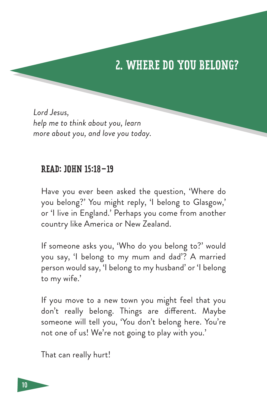# 2. WHERE DO YOU BELONG?

*Lord Jesus, help me to think about you, learn more about you, and love you today.*

#### READ: JOHN 15:18–19

Have you ever been asked the question, 'Where do you belong?' You might reply, 'I belong to Glasgow,' or 'I live in England.' Perhaps you come from another country like America or New Zealand.

If someone asks you, 'Who do you belong to?' would you say, 'I belong to my mum and dad'? A married person would say, 'I belong to my husband' or 'I belong to my wife.'

If you move to a new town you might feel that you don't really belong. Things are different. Maybe someone will tell you, 'You don't belong here. You're not one of us! We're not going to play with you.'

That can really hurt!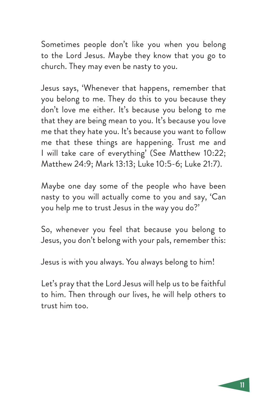Sometimes people don't like you when you belong to the Lord Jesus. Maybe they know that you go to church. They may even be nasty to you.

Jesus says, 'Whenever that happens, remember that you belong to me. They do this to you because they don't love me either. It's because you belong to me that they are being mean to you. It's because you love me that they hate you. It's because you want to follow me that these things are happening. Trust me and I will take care of everything' (See Matthew 10:22; Matthew 24:9; Mark 13:13; Luke 10:5-6; Luke 21:7).

Maybe one day some of the people who have been nasty to you will actually come to you and say, 'Can you help me to trust Jesus in the way you do?'

So, whenever you feel that because you belong to Jesus, you don't belong with your pals, remember this:

Jesus is with you always. You always belong to him!

Let's pray that the Lord Jesus will help us to be faithful to him. Then through our lives, he will help others to trust him too.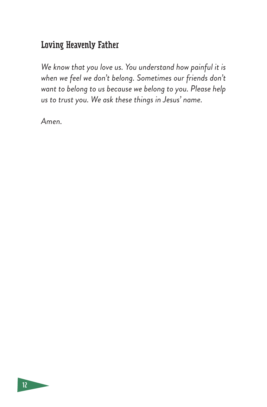### Loving Heavenly Father

*We know that you love us. You understand how painful it is when we feel we don't belong. Sometimes our friends don't want to belong to us because we belong to you. Please help us to trust you. We ask these things in Jesus' name.* 

*Amen.*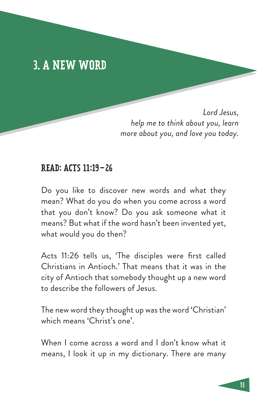## 3. A NEW WORD

*Lord Jesus, help me to think about you, learn more about you, and love you today.*

#### READ: ACTS 11:19–26

Do you like to discover new words and what they mean? What do you do when you come across a word that you don't know? Do you ask someone what it means? But what if the word hasn't been invented yet, what would you do then?

Acts 11:26 tells us, 'The disciples were first called Christians in Antioch.' That means that it was in the city of Antioch that somebody thought up a new word to describe the followers of Jesus.

The new word they thought up was the word 'Christian' which means 'Christ's one'.

When I come across a word and I don't know what it means, I look it up in my dictionary. There are many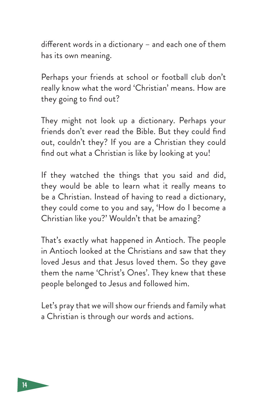different words in a dictionary – and each one of them has its own meaning.

Perhaps your friends at school or football club don't really know what the word 'Christian' means. How are they going to find out?

They might not look up a dictionary. Perhaps your friends don't ever read the Bible. But they could find out, couldn't they? If you are a Christian they could find out what a Christian is like by looking at you!

If they watched the things that you said and did, they would be able to learn what it really means to be a Christian. Instead of having to read a dictionary, they could come to you and say, 'How do I become a Christian like you?' Wouldn't that be amazing?

That's exactly what happened in Antioch. The people in Antioch looked at the Christians and saw that they loved Jesus and that Jesus loved them. So they gave them the name 'Christ's Ones'. They knew that these people belonged to Jesus and followed him.

Let's pray that we will show our friends and family what a Christian is through our words and actions.